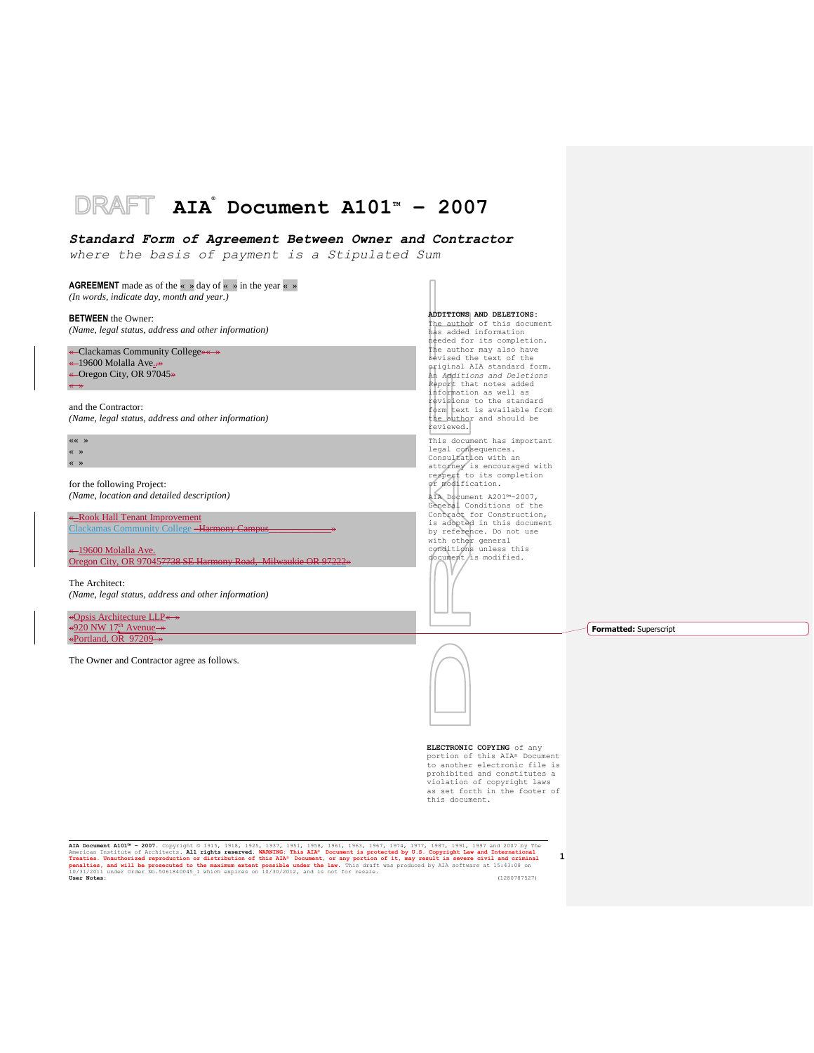## DRAFT **AIA ® Document A101TM – 2007**

## *Standard Form of Agreement Between Owner and Contractor*

*where the basis of payment is a Stipulated Sum*

**AGREEMENT** made as of the  $\leq$  » day of  $\leq$  » in the year  $\leq$  » *(In words, indicate day, month and year.)*

**BETWEEN** the Owner: *(Name, legal status, address and other information)*

| « Clackamas Community College <del>» « →</del> |
|------------------------------------------------|
| $\leftarrow$ 19600 Molalla Ave                 |
| ← Oregon City, OR 97045 $\rightarrow$          |
| $\longleftrightarrow$                          |

and the Contractor: *(Name, legal status, address and other information)*

«« » « » « »

for the following Project: *(Name, location and detailed description)*

«\_Rook Hall Tenant Improvement Clackamas Community College -

-19600 Molalla Ave. Oregon City, OR 970457738 SE Harmony Road, Milwaukie OR 97222»

The Architect: *(Name, legal status, address and other information)*

«Opsis Architecture LLP« »  $\leftarrow 920$  NW 17<sup>th</sup> Avenue  $\rightarrow$ «Portland, OR 97209 »

The Owner and Contractor agree as follows.

#### **ADDITIONS AND DELETIONS:**  The author of this document

has added information needed for its completion. The author may also have revised the text of the original AIA standard form. An *Additions and Deletions Report* that notes added information as well as revisions to the standard form text is available from the author and should be reviewed. This document has important legal consequences. Consultation with an attorney is encouraged with respect to its completion or modification. AIA Document A201™–2007, General Conditions of the Contract for Construction, is adopted in this document by reference. Do not use with other general conditions unless this document/is modified.

**Formatted:** Superscript



**ELECTRONIC COPYING** of any portion of this AIA® Document to another electronic file is prohibited and constitutes a violation of copyright laws as set forth in the footer of this document.

**1**

AIA Document A101<sup>3</sup> - 2007. Copyright © 1915, 1918, 1925, 1937, 1951, 1958, 1961, 1967, 1974, 1977, 1987, 1991, 1997 and 2007 by The<br>American Institute of Architects. All rights reserved. WARNING: This AIA\* Document is pr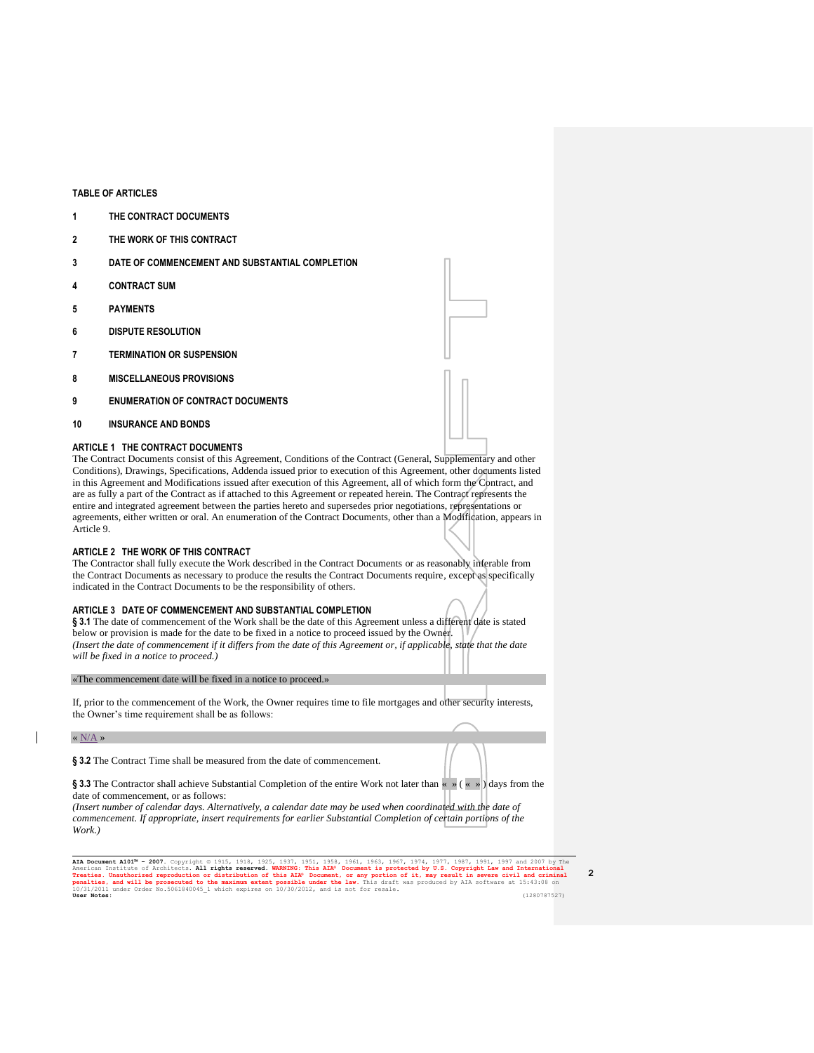## **TABLE OF ARTICLES**

- **1 THE CONTRACT DOCUMENTS**
- **2 THE WORK OF THIS CONTRACT**
- **3 DATE OF COMMENCEMENT AND SUBSTANTIAL COMPLETION**
- **4 CONTRACT SUM**
- **5 PAYMENTS**
- **6 DISPUTE RESOLUTION**
- **7 TERMINATION OR SUSPENSION**
- **8 MISCELLANEOUS PROVISIONS**
- **9 ENUMERATION OF CONTRACT DOCUMENTS**
- **10 INSURANCE AND BONDS**

## **ARTICLE 1 THE CONTRACT DOCUMENTS**

The Contract Documents consist of this Agreement, Conditions of the Contract (General, Supplementary and other Conditions), Drawings, Specifications, Addenda issued prior to execution of this Agreement, other documents listed in this Agreement and Modifications issued after execution of this Agreement, all of which form the Contract, and are as fully a part of the Contract as if attached to this Agreement or repeated herein. The Contract represents the entire and integrated agreement between the parties hereto and supersedes prior negotiations, representations or agreements, either written or oral. An enumeration of the Contract Documents, other than a Modification, appears in Article 9.

## **ARTICLE 2 THE WORK OF THIS CONTRACT**

The Contractor shall fully execute the Work described in the Contract Documents or as reasonably inferable from the Contract Documents as necessary to produce the results the Contract Documents require, except as specifically indicated in the Contract Documents to be the responsibility of others.

## **ARTICLE 3 DATE OF COMMENCEMENT AND SUBSTANTIAL COMPLETION**

**§ 3.1** The date of commencement of the Work shall be the date of this Agreement unless a different date is stated below or provision is made for the date to be fixed in a notice to proceed issued by the Owner. *(Insert the date of commencement if it differs from the date of this Agreement or, if applicable, state that the date will be fixed in a notice to proceed.)*

«The commencement date will be fixed in a notice to proceed.»

If, prior to the commencement of the Work, the Owner requires time to file mortgages and other security interests, the Owner's time requirement shall be as follows:

## «  $\rm N/A$  »

**§ 3.2** The Contract Time shall be measured from the date of commencement.

**§ 3.3** The Contractor shall achieve Substantial Completion of the entire Work not later than « » ( « » ) days from the date of commencement, or as follows:

*(Insert number of calendar days. Alternatively, a calendar date may be used when coordinated with the date of commencement. If appropriate, insert requirements for earlier Substantial Completion of certain portions of the Work.)*

AIA Document AlO1<sup>3</sup> - 2007. Copyright © 1915, 1925, 1937, 1951, 1958, 1961, 1963, 1967, 1974, 1977, 1987, 1997 and 2007 by The American Institute of Architects. All rights reserved. WARNING: This AIA<sup>®</sup> Document is protec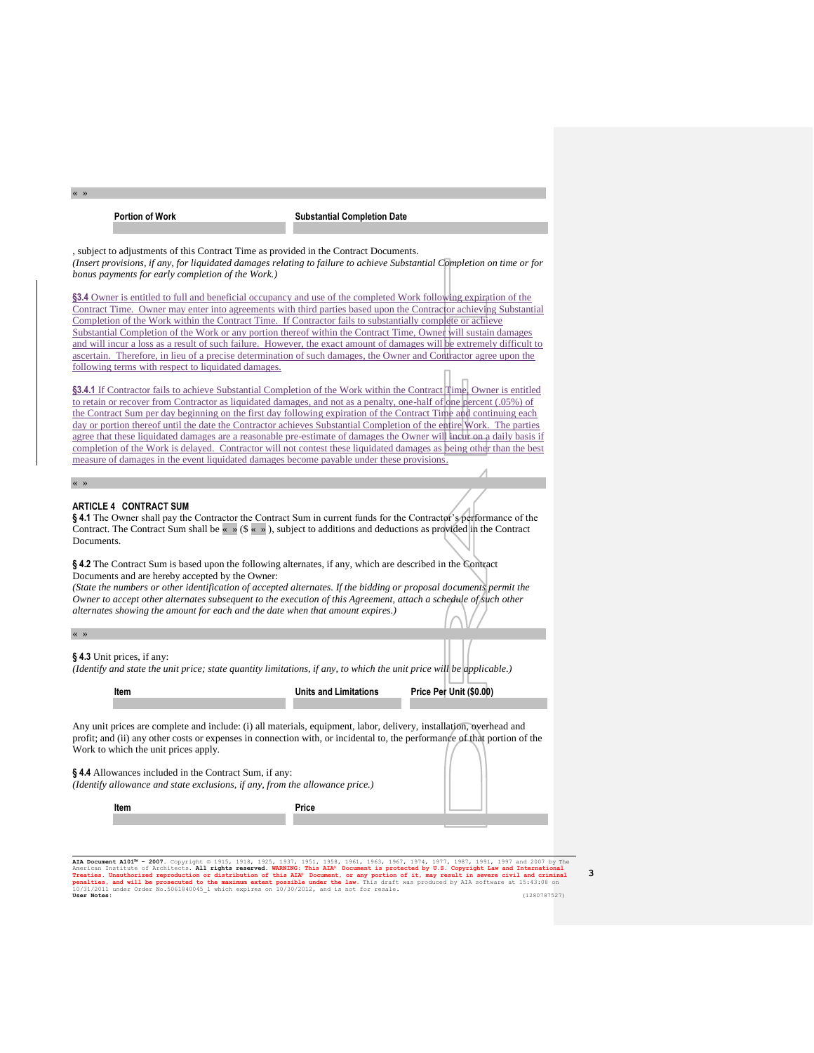« »

**Portion of Work Substantial Completion Date**

, subject to adjustments of this Contract Time as provided in the Contract Documents. *(Insert provisions, if any, for liquidated damages relating to failure to achieve Substantial Completion on time or for bonus payments for early completion of the Work.)*

**§3.4** Owner is entitled to full and beneficial occupancy and use of the completed Work following expiration of the Contract Time. Owner may enter into agreements with third parties based upon the Contractor achieving Substantial Completion of the Work within the Contract Time. If Contractor fails to substantially complete or achieve Substantial Completion of the Work or any portion thereof within the Contract Time, Owner will sustain damages and will incur a loss as a result of such failure. However, the exact amount of damages will be extremely difficult to ascertain. Therefore, in lieu of a precise determination of such damages, the Owner and Contractor agree upon the following terms with respect to liquidated damages.

**§3.4.1** If Contractor fails to achieve Substantial Completion of the Work within the Contract Time, Owner is entitled to retain or recover from Contractor as liquidated damages, and not as a penalty, one-half of one percent (.05%) of the Contract Sum per day beginning on the first day following expiration of the Contract Time and continuing each day or portion thereof until the date the Contractor achieves Substantial Completion of the entire Work. The parties agree that these liquidated damages are a reasonable pre-estimate of damages the Owner will incur on a daily basis if completion of the Work is delayed. Contractor will not contest these liquidated damages as being other than the best measure of damages in the event liquidated damages become payable under these provisions.

« »

## **ARTICLE 4 CONTRACT SUM**

**§ 4.1** The Owner shall pay the Contractor the Contract Sum in current funds for the Contractor's performance of the Contract. The Contract Sum shall be  $\ll \gg$  (\$  $\ll \gg$ ), subject to additions and deductions as provided in the Contract Documents.

**§ 4.2** The Contract Sum is based upon the following alternates, if any, which are described in the Contract Documents and are hereby accepted by the Owner:

*(State the numbers or other identification of accepted alternates. If the bidding or proposal documents permit the Owner to accept other alternates subsequent to the execution of this Agreement, attach a schedule of such other alternates showing the amount for each and the date when that amount expires.)*

### « »

#### **§ 4.3** Unit prices, if any:

*(Identify and state the unit price; state quantity limitations, if any, to which the unit price will be applicable.)*

**Item Installer** *Units and Limitations* **Price Per Unit (\$0.00)** 

Any unit prices are complete and include: (i) all materials, equipment, labor, delivery, installation, overhead and profit; and (ii) any other costs or expenses in connection with, or incidental to, the performance of that portion of the Work to which the unit prices apply.

**§ 4.4** Allowances included in the Contract Sum, if any:

*(Identify allowance and state exclusions, if any, from the allowance price.)*

| Item | Price |
|------|-------|
|      |       |

AIA Document AlO1<sup>34</sup> - 2007. Copyright © 1915, 1925, 1925, 1937, 1951, 1958, 1953, 1967, 1974, 1977, 1987, 1997 and 2007 by The<br>American Institute of Architects. All rights reserved. WARNING: This AIA® Document is protect 10/31/2011 under Order No.5061840045\_1 which expires on 10/30/2012, and is not for resale. **User Notes:** (1280787527)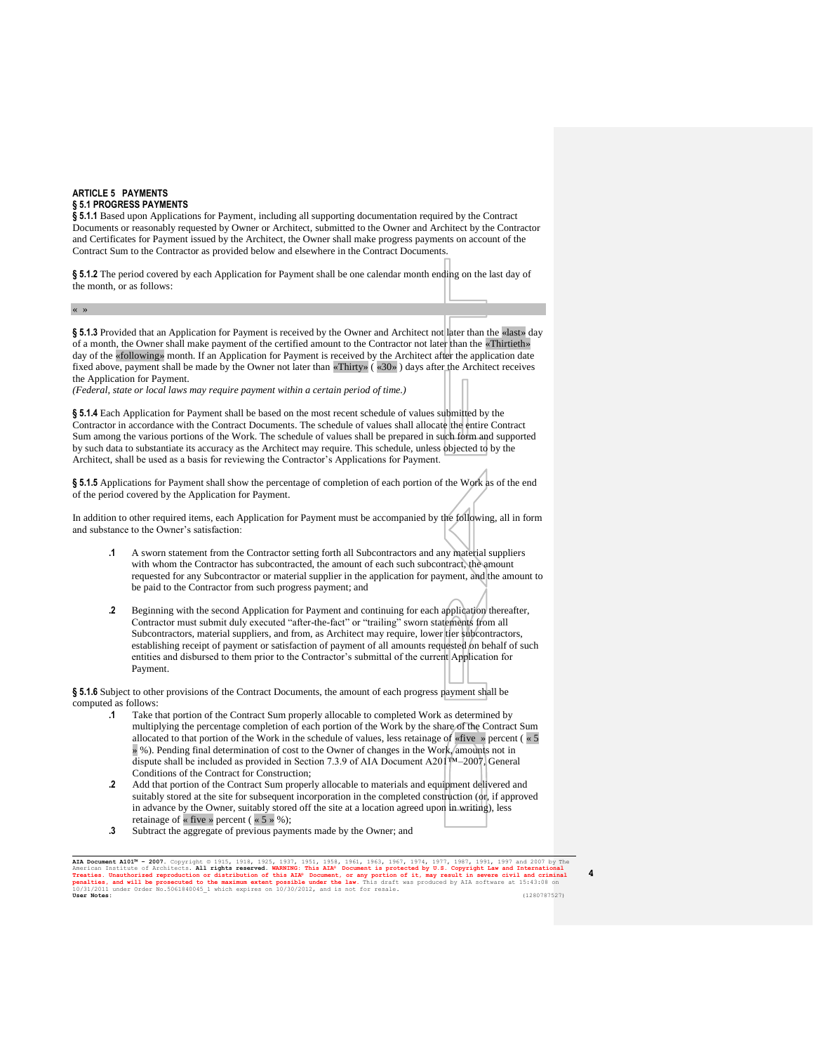### **ARTICLE 5 PAYMENTS § 5.1 PROGRESS PAYMENTS**

**§ 5.1.1** Based upon Applications for Payment, including all supporting documentation required by the Contract Documents or reasonably requested by Owner or Architect, submitted to the Owner and Architect by the Contractor and Certificates for Payment issued by the Architect, the Owner shall make progress payments on account of the Contract Sum to the Contractor as provided below and elsewhere in the Contract Documents.

**§ 5.1.2** The period covered by each Application for Payment shall be one calendar month ending on the last day of the month, or as follows:

« »

**§ 5.1.3** Provided that an Application for Payment is received by the Owner and Architect not later than the «last» day of a month, the Owner shall make payment of the certified amount to the Contractor not later than the «Thirtieth» day of the «following» month. If an Application for Payment is received by the Architect after the application date fixed above, payment shall be made by the Owner not later than «Thirty» ( «30» ) days after the Architect receives the Application for Payment.

*(Federal, state or local laws may require payment within a certain period of time.)*

**§ 5.1.4** Each Application for Payment shall be based on the most recent schedule of values submitted by the Contractor in accordance with the Contract Documents. The schedule of values shall allocate the entire Contract Sum among the various portions of the Work. The schedule of values shall be prepared in such form and supported by such data to substantiate its accuracy as the Architect may require. This schedule, unless objected to by the Architect, shall be used as a basis for reviewing the Contractor's Applications for Payment.

§**5.1.5** Applications for Payment shall show the percentage of completion of each portion of the Work as of the end of the period covered by the Application for Payment.

In addition to other required items, each Application for Payment must be accompanied by the following, all in form and substance to the Owner's satisfaction:

- **.1** A sworn statement from the Contractor setting forth all Subcontractors and any material suppliers with whom the Contractor has subcontracted, the amount of each such subcontract, the amount requested for any Subcontractor or material supplier in the application for payment, and the amount to be paid to the Contractor from such progress payment; and
- **.2** Beginning with the second Application for Payment and continuing for each application thereafter, Contractor must submit duly executed "after-the-fact" or "trailing" sworn statements from all Subcontractors, material suppliers, and from, as Architect may require, lower tier subcontractors, establishing receipt of payment or satisfaction of payment of all amounts requested on behalf of such entities and disbursed to them prior to the Contractor's submittal of the current Application for Payment.

**§ 5.1.6** Subject to other provisions of the Contract Documents, the amount of each progress payment shall be computed as follows:

- **.1** Take that portion of the Contract Sum properly allocable to completed Work as determined by multiplying the percentage completion of each portion of the Work by the share of the Contract Sum allocated to that portion of the Work in the schedule of values, less retainage of «five » percent ( $\ltimes 5$ » %). Pending final determination of cost to the Owner of changes in the Work, amounts not in dispute shall be included as provided in Section 7.3.9 of AIA Document A201™–2007, General Conditions of the Contract for Construction;
- **.2** Add that portion of the Contract Sum properly allocable to materials and equipment delivered and suitably stored at the site for subsequent incorporation in the completed construction (or, if approved in advance by the Owner, suitably stored off the site at a location agreed upon in writing), less retainage of « five » percent ( « 5 » %);
- **.3** Subtract the aggregate of previous payments made by the Owner; and

AIA Document AlO1<sup>3</sup> - 2007. Copyright © 1915, 1925, 1937, 1951, 1958, 1961, 1963, 1967, 1974, 1977, 1987, 1997 and 2007 by The American Institute of Architects. All rights reserved. WARNING: This AIA<sup>®</sup> Document is protec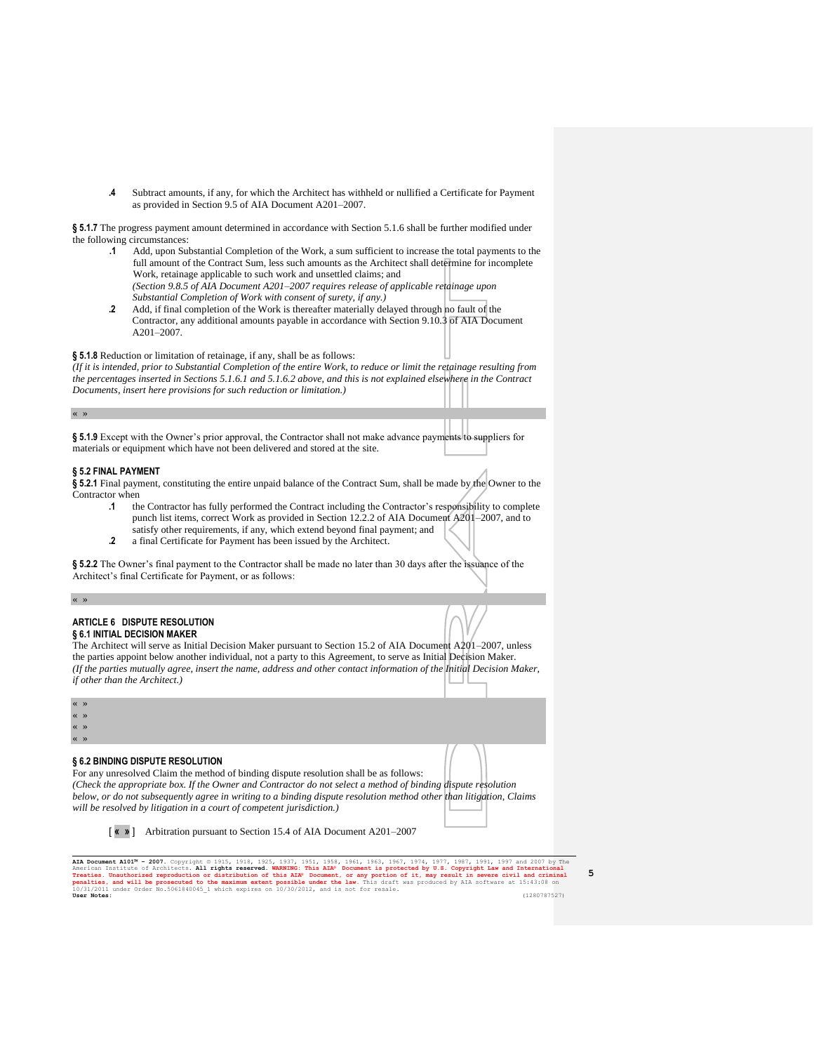**.4** Subtract amounts, if any, for which the Architect has withheld or nullified a Certificate for Payment as provided in Section 9.5 of AIA Document A201–2007.

**§ 5.1.7** The progress payment amount determined in accordance with Section 5.1.6 shall be further modified under the following circumstances:

- **.1** Add, upon Substantial Completion of the Work, a sum sufficient to increase the total payments to the full amount of the Contract Sum, less such amounts as the Architect shall determine for incomplete Work, retainage applicable to such work and unsettled claims; and *(Section 9.8.5 of AIA Document A201–2007 requires release of applicable retainage upon Substantial Completion of Work with consent of surety, if any.)*
- **.2** Add, if final completion of the Work is thereafter materially delayed through no fault of the Contractor, any additional amounts payable in accordance with Section 9.10.3 of AIA Document A201–2007.

**§ 5.1.8** Reduction or limitation of retainage, if any, shall be as follows:

*(If it is intended, prior to Substantial Completion of the entire Work, to reduce or limit the retainage resulting from the percentages inserted in Sections 5.1.6.1 and 5.1.6.2 above, and this is not explained elsewhere in the Contract Documents, insert here provisions for such reduction or limitation.)*

« »

**§ 5.1.9** Except with the Owner's prior approval, the Contractor shall not make advance payments to suppliers for materials or equipment which have not been delivered and stored at the site.

# **§ 5.2 FINAL PAYMENT**

**§ 5.2.1** Final payment, constituting the entire unpaid balance of the Contract Sum, shall be made by the Owner to the Contractor when

- **.1** the Contractor has fully performed the Contract including the Contractor's responsibility to complete punch list items, correct Work as provided in Section 12.2.2 of AIA Document A201–2007, and to satisfy other requirements, if any, which extend beyond final payment; and
- **.2** a final Certificate for Payment has been issued by the Architect.

**§ 5.2.2** The Owner's final payment to the Contractor shall be made no later than 30 days after the issuance of the Architect's final Certificate for Payment, or as follows:

« »

## **ARTICLE 6 DISPUTE RESOLUTION § 6.1 INITIAL DECISION MAKER**

The Architect will serve as Initial Decision Maker pursuant to Section 15.2 of AIA Document A201–2007, unless the parties appoint below another individual, not a party to this Agreement, to serve as Initial Decision Maker. *(If the parties mutually agree, insert the name, address and other contact information of the Initial Decision Maker, if other than the Architect.)*

« »

« »

« »  $\ll$ 

**§ 6.2 BINDING DISPUTE RESOLUTION**



For any unresolved Claim the method of binding dispute resolution shall be as follows:

*(Check the appropriate box. If the Owner and Contractor do not select a method of binding dispute resolution below, or do not subsequently agree in writing to a binding dispute resolution method other than litigation, Claims will be resolved by litigation in a court of competent jurisdiction.)*

[ **« »** ] Arbitration pursuant to Section 15.4 of AIA Document A201–2007

AIA Document AlO1<sup>34</sup> - 2007. Copyright © 1915, 1925, 1925, 1937, 1951, 1958, 1953, 1967, 1974, 1977, 1987, 1997 and 2007 by The<br>American Institute of Architects. All rights reserved. WARNING: This AIA® Document is protect 10/31/2011 under Order No.5061840045\_1 which expires on 10/30/2012, and is not for resale. **User Notes:** (1280787527)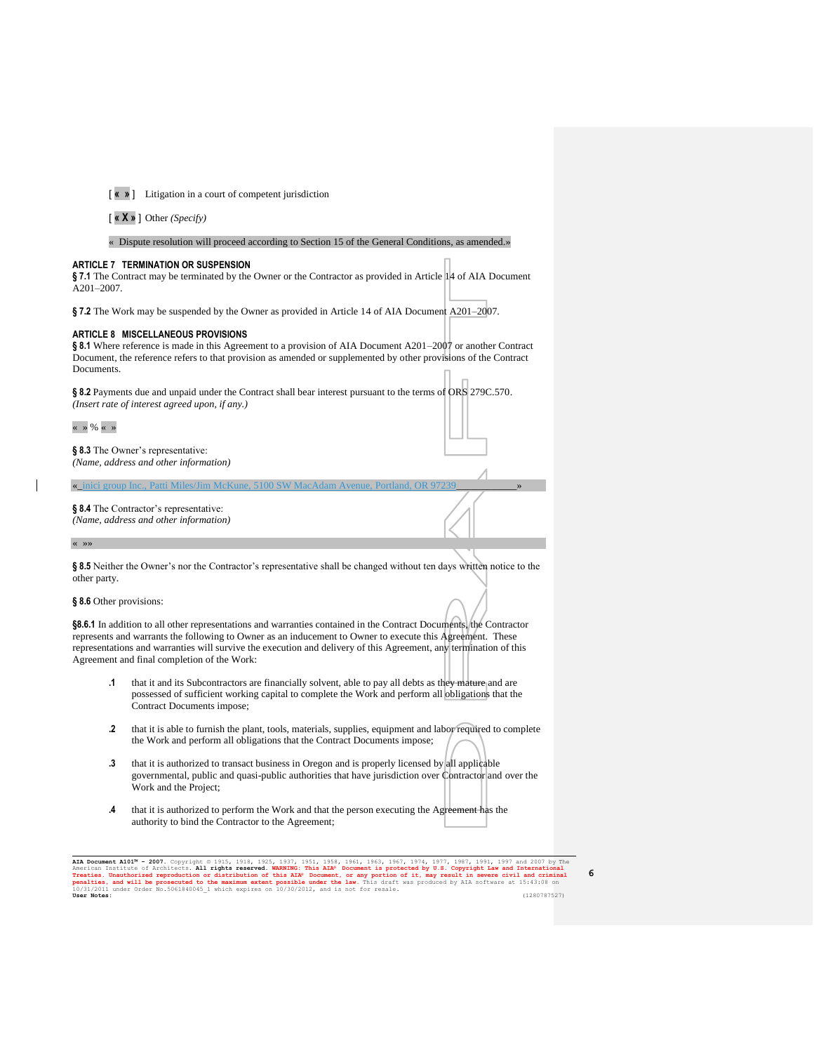[ **« »** ] Litigation in a court of competent jurisdiction

[ **« X »** ] Other *(Specify)*

« Dispute resolution will proceed according to Section 15 of the General Conditions, as amended.»

## **ARTICLE 7 TERMINATION OR SUSPENSION**

**§ 7.1** The Contract may be terminated by the Owner or the Contractor as provided in Article 14 of AIA Document A201–2007.

**§ 7.2** The Work may be suspended by the Owner as provided in Article 14 of AIA Document A201–2007.

## **ARTICLE 8 MISCELLANEOUS PROVISIONS**

**§ 8.1** Where reference is made in this Agreement to a provision of AIA Document A201–2007 or another Contract Document, the reference refers to that provision as amended or supplemented by other provisions of the Contract Documents.

**§ 8.2** Payments due and unpaid under the Contract shall bear interest pursuant to the terms of ORS 279C.570. *(Insert rate of interest agreed upon, if any.)*

 $\alpha \rightarrow 96 \alpha \rightarrow$ 

**§ 8.3** The Owner's representative: *(Name, address and other information)*

 $\alpha$  inici group Inc., Patti Miles/Jim McK

**§ 8.4** The Contractor's representative: *(Name, address and other information)*

« »»

§8.5 Neither the Owner's nor the Contractor's representative shall be changed without ten days written notice to the other party.

## **§ 8.6** Other provisions:

**§8.6.1** In addition to all other representations and warranties contained in the Contract Documents, the Contractor represents and warrants the following to Owner as an inducement to Owner to execute this Agreement. These representations and warranties will survive the execution and delivery of this Agreement, any termination of this Agreement and final completion of the Work:

- **.1** that it and its Subcontractors are financially solvent, able to pay all debts as they mature and are possessed of sufficient working capital to complete the Work and perform all obligations that the Contract Documents impose;
- **.2** that it is able to furnish the plant, tools, materials, supplies, equipment and labor required to complete the Work and perform all obligations that the Contract Documents impose;
- **.3** that it is authorized to transact business in Oregon and is properly licensed by all applicable governmental, public and quasi-public authorities that have jurisdiction over Contractor and over the Work and the Project;
- **.4** that it is authorized to perform the Work and that the person executing the Agreement has the authority to bind the Contractor to the Agreement;

AIA Document AlO1<sup>3</sup> - 2007. Copyright © 1915, 1925, 1937, 1951, 1958, 1961, 1963, 1967, 1974, 1977, 1987, 1997 and 2007 by The American Institute of Architects. All rights reserved. WARNING: This AIA<sup>®</sup> Document is protec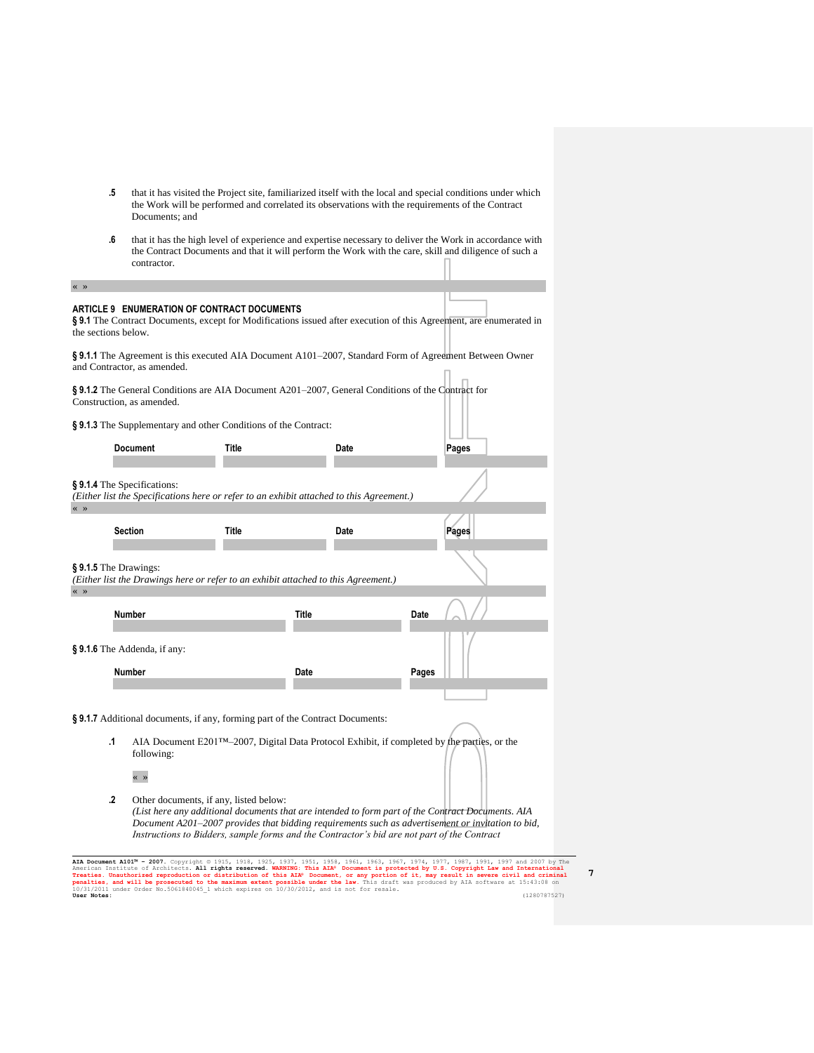- **.5** that it has visited the Project site, familiarized itself with the local and special conditions under which the Work will be performed and correlated its observations with the requirements of the Contract Documents; and
- **.6** that it has the high level of experience and expertise necessary to deliver the Work in accordance with the Contract Documents and that it will perform the Work with the care, skill and diligence of such a contractor.

« »

## **ARTICLE 9 ENUMERATION OF CONTRACT DOCUMENTS**

§**9.1** The Contract Documents, except for Modifications issued after execution of this Agreement, are enumerated in the sections below.

**§ 9.1.1** The Agreement is this executed AIA Document A101–2007, Standard Form of Agreement Between Owner and Contractor, as amended.

**§ 9.1.2** The General Conditions are AIA Document A201–2007, General Conditions of the Contract for Construction, as amended.

**§ 9.1.3** The Supplementary and other Conditions of the Contract:

|                                                                                                                                                                                   | <b>Document</b>                       | Title |       | Date |       | ___<br>Pages |  |  |  |
|-----------------------------------------------------------------------------------------------------------------------------------------------------------------------------------|---------------------------------------|-------|-------|------|-------|--------------|--|--|--|
| §9.1.4 The Specifications:<br>(Either list the Specifications here or refer to an exhibit attached to this Agreement.)<br>$\left\langle \left\langle \right\rangle \right\rangle$ |                                       |       |       |      |       |              |  |  |  |
|                                                                                                                                                                                   | <b>Section</b>                        | Title |       | Date |       | Pages        |  |  |  |
| $§ 9.1.5$ The Drawings:<br>(Either list the Drawings here or refer to an exhibit attached to this Agreement.)<br>$\left\langle \left\langle \right\rangle \right\rangle$          |                                       |       |       |      |       |              |  |  |  |
|                                                                                                                                                                                   | Number                                |       | Title |      | Date  |              |  |  |  |
|                                                                                                                                                                                   | §9.1.6 The Addenda, if any:<br>Number |       | Date  |      | Pages |              |  |  |  |
|                                                                                                                                                                                   |                                       |       |       |      |       |              |  |  |  |

**§ 9.1.7** Additional documents, if any, forming part of the Contract Documents:

**.1** AIA Document E201™–2007, Digital Data Protocol Exhibit, if completed by the parties, or the following:

« »

**.2** Other documents, if any, listed below:

*(List here any additional documents that are intended to form part of the Contract Documents. AIA Document A201–2007 provides that bidding requirements such as advertisement or invitation to bid, Instructions to Bidders, sample forms and the Contractor's bid are not part of the Contract* 

AIA Document AlO1<sup>3</sup> - 2007. Copyright © 1915, 1925, 1937, 1951, 1958, 1961, 1963, 1967, 1974, 1977, 1987, 1997 and 2007 by The American Institute of Architects. All rights reserved. WARNING: This AIA<sup>®</sup> Document is protec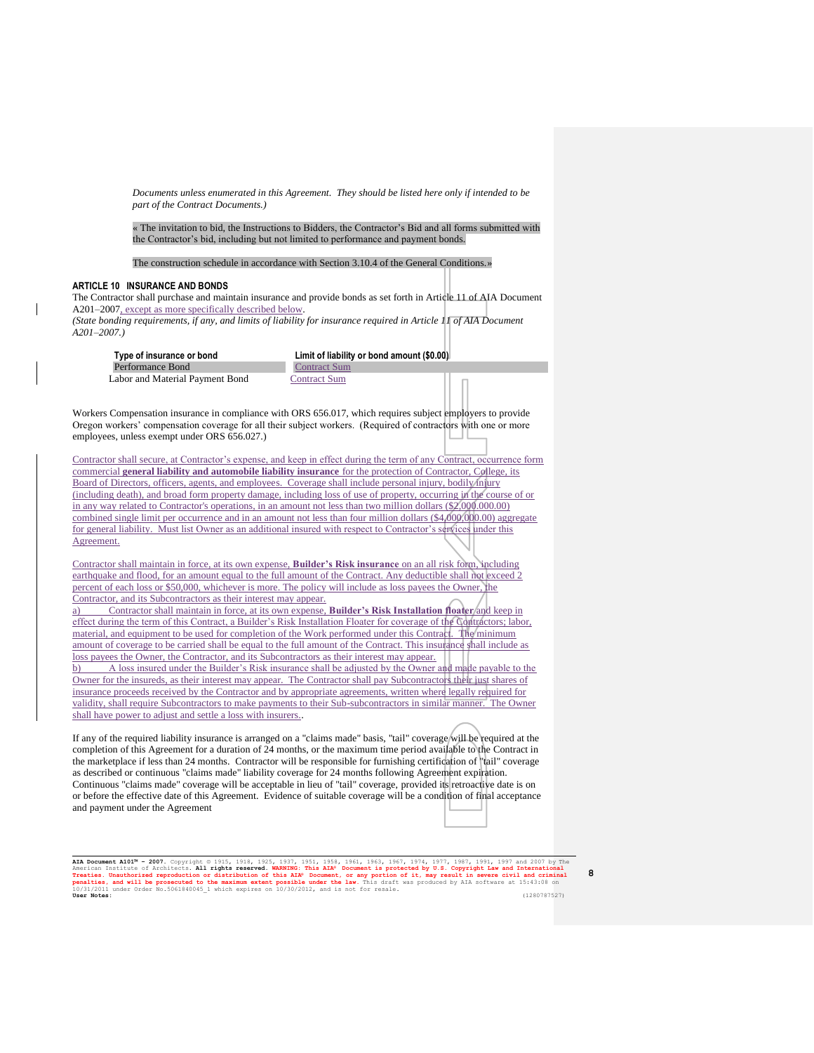*Documents unless enumerated in this Agreement. They should be listed here only if intended to be part of the Contract Documents.)*

« The invitation to bid, the Instructions to Bidders, the Contractor's Bid and all forms submitted with the Contractor's bid, including but not limited to performance and payment bonds.

The construction schedule in accordance with Section 3.10.4 of the General Conditions.»

## **ARTICLE 10 INSURANCE AND BONDS**

The Contractor shall purchase and maintain insurance and provide bonds as set forth in Article 11 of AIA Document A201–2007, except as more specifically described below. *(State bonding requirements, if any, and limits of liability for insurance required in Article 11 of AIA Document* 

*A201–2007.)*

**Type of insurance or bond Limit of liability or bond amount (\$0.00)**

Performance Bond Contract Sum Labor and Material Payment Bond Contract Sum

Workers Compensation insurance in compliance with ORS 656.017, which requires subject employers to provide Oregon workers' compensation coverage for all their subject workers. (Required of contractors with one or more employees, unless exempt under ORS 656.027.)

Contractor shall secure, at Contractor's expense, and keep in effect during the term of any Contract, occurrence form commercial **general liability and automobile liability insurance** for the protection of Contractor, College, its Board of Directors, officers, agents, and employees. Coverage shall include personal injury, bodily/injury (including death), and broad form property damage, including loss of use of property, occurring in the course of or in any way related to Contractor's operations, in an amount not less than two million dollars (\$2,000.000.00) combined single limit per occurrence and in an amount not less than four million dollars (\$4,000,000.00) aggregate for general liability. Must list Owner as an additional insured with respect to Contractor's services under this Agreement.

Contractor shall maintain in force, at its own expense, **Builder's Risk insurance** on an all risk form, including earthquake and flood, for an amount equal to the full amount of the Contract. Any deductible shall not exceed 2 percent of each loss or \$50,000, whichever is more. The policy will include as loss payees the Owner, the Contractor, and its Subcontractors as their interest may appear.

a) Contractor shall maintain in force, at its own expense, **Builder's Risk Installation floater** and keep in effect during the term of this Contract, a Builder's Risk Installation Floater for coverage of the Contractors; labor, material, and equipment to be used for completion of the Work performed under this Contract. The minimum amount of coverage to be carried shall be equal to the full amount of the Contract. This insurance shall include as loss payees the Owner, the Contractor, and its Subcontractors as their interest may appear. b) A loss insured under the Builder's Risk insurance shall be adjusted by the Owner and made payable to the Owner for the insureds, as their interest may appear. The Contractor shall pay Subcontractors their just shares of

insurance proceeds received by the Contractor and by appropriate agreements, written where legally required for validity, shall require Subcontractors to make payments to their Sub-subcontractors in similar manner. The Owner shall have power to adjust and settle a loss with insurers..

If any of the required liability insurance is arranged on a "claims made" basis, "tail" coverage will be required at the completion of this Agreement for a duration of 24 months, or the maximum time period available to the Contract in the marketplace if less than 24 months. Contractor will be responsible for furnishing certification of "tail" coverage as described or continuous "claims made" liability coverage for 24 months following Agreement expiration. Continuous "claims made" coverage will be acceptable in lieu of "tail" coverage, provided its retroactive date is on or before the effective date of this Agreement. Evidence of suitable coverage will be a condition of final acceptance and payment under the Agreement

AIA Document AlO1<sup>34</sup> - 2007. Copyright © 1915, 1925, 1925, 1937, 1951, 1958, 1953, 1967, 1974, 1977, 1987, 1997 and 2007 by The<br>American Institute of Architects. All rights reserved. WARNING: This AIA® Document is protect 10/31/2011 under Order No.5061840045\_1 which expires on 10/30/2012, and is not for resale. **User Notes:** (1280787527)